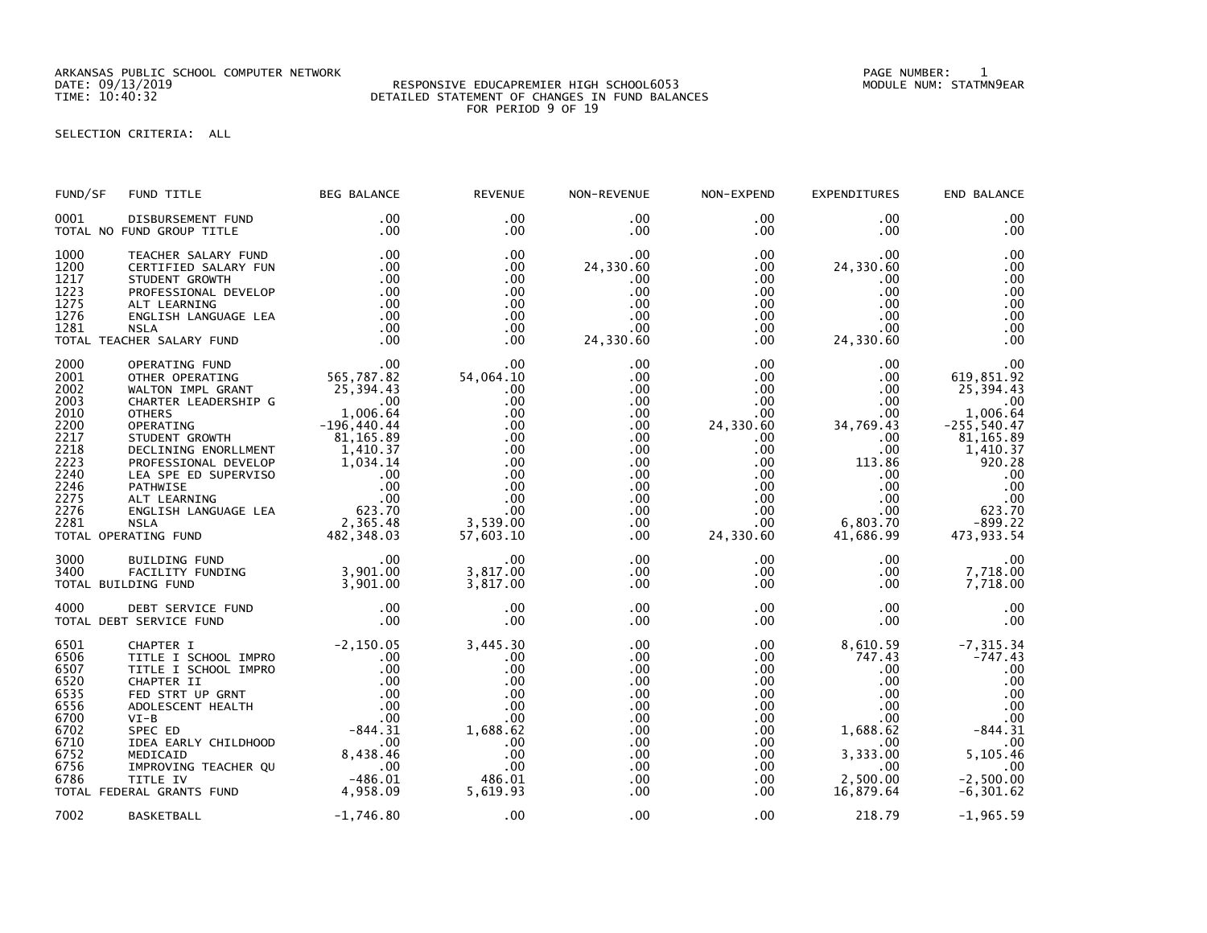ARKANSAS PUBLIC SCHOOL COMPUTER NETWORK PAGE NUMBER: 1

## DATE: 09/13/2019 RESPONSIVE EDUCAPREMIER HIGH SCHOOL6053 MODULE NUM: STATMN9EAR TIME: 10:40:32 DETAILED STATEMENT OF CHANGES IN FUND BALANCES FOR PERIOD 9 OF 19

SELECTION CRITERIA: ALL

| FUND/SF                                                                                                      | FUND TITLE                                                                                                                                                                                                                                                                                                                                                           | <b>BEG BALANCE</b>                                                                              | <b>REVENUE</b>                                                                                                                | NON-REVENUE                                                                                                                                                            | NON-EXPEND                                                                                                                                                                             | <b>EXPENDITURES</b>                                                                                                                                                          | END BALANCE                                                                                                                                                              |
|--------------------------------------------------------------------------------------------------------------|----------------------------------------------------------------------------------------------------------------------------------------------------------------------------------------------------------------------------------------------------------------------------------------------------------------------------------------------------------------------|-------------------------------------------------------------------------------------------------|-------------------------------------------------------------------------------------------------------------------------------|------------------------------------------------------------------------------------------------------------------------------------------------------------------------|----------------------------------------------------------------------------------------------------------------------------------------------------------------------------------------|------------------------------------------------------------------------------------------------------------------------------------------------------------------------------|--------------------------------------------------------------------------------------------------------------------------------------------------------------------------|
| 0001                                                                                                         | DISBURSEMENT FUND<br>TOTAL NO FUND GROUP TITLE                                                                                                                                                                                                                                                                                                                       | .00<br>.00                                                                                      | .00<br>$.00 \,$                                                                                                               | .00<br>$.00 \,$                                                                                                                                                        | .00<br>$.00 \,$                                                                                                                                                                        | $.00 \,$<br>$.00 \,$                                                                                                                                                         | .00<br>$.00 \,$                                                                                                                                                          |
| 1000<br>1200<br>1217<br>1223<br>1275<br>1276<br>1281                                                         | TEACHER SALARY FUND<br>CERTIFIED SALARY FUN<br>STUDENT GROWTH<br>PROFESSIONAL DEVELOP<br>ALT LEARNING<br>ENGLISH LANGUAGE LEA<br><b>NSLA</b><br>TOTAL TEACHER SALARY FUND                                                                                                                                                                                            | .00<br>.00<br>.00<br>.00<br>.00<br>.00<br>.00<br>.00                                            | .00<br>$.00 \times$<br>$.00 \times$<br>$.00 \times$<br>$.00 \,$<br>.00<br>.00<br>$.00 \times$                                 | $.00 \,$<br>24,330.60<br>.00<br>.00<br>.00<br>$.00 \,$<br>$.00 \,$<br>24,330.60                                                                                        | $.00 \,$<br>$.00 \,$<br>$.00 \,$<br>$.00 \,$<br>$.00 \,$<br>$.00 \,$<br>$.00 \,$<br>$.00 \,$                                                                                           | .00<br>24,330.60<br>$.00 \,$<br>.00<br>$.00 \,$<br>.00<br>$.00 \,$<br>24,330.60                                                                                              | .00<br>.00<br>.00<br>.00<br>.00<br>.00<br>.00<br>.00                                                                                                                     |
| 2000<br>2001<br>2002<br>2003<br>2010<br>2200<br>2217<br>2218<br>2223<br>2240<br>2246<br>2275<br>2276<br>2281 | OPERATING FUND<br>OTHER OPERATING<br>WALTON IMPL GRANT<br>CHARTER LEADERSHIP G<br><b>OTHERS</b><br>OPERATING<br>STUDENT GROWTH<br>DECLINING ENORLLMENT<br>PROFESSIONAL MENT<br>PROFESSIONAL DEVELOP<br>LEA SPE ED SUPERVISO<br>DATHWISE 00<br>ALT LEARNING 00<br>ALT LEARNING 00<br>NSLA 2,365.48<br>NSLA 2,365.48<br>ARTING FUND 482,348.03<br>TOTAL OPERATING FUND | 00 .<br>565 , 787 . 82<br>25 , 394 . 43<br>1,006.64<br>$-196,440.44$<br>$81,165.89$<br>1,410.37 | $.00 \,$<br>54,064.10<br>.00.<br>.00<br>.00<br>.00<br>.00.<br>.00<br>.00<br>.00<br>.00<br>.00<br>.00<br>3,539.00<br>57,603.10 | .00<br>$.00 \,$<br>$.00 \,$<br>$.00 \,$<br>$.00 \,$<br>$.00 \,$<br>$.00 \,$<br>$.00 \,$<br>$.00 \,$<br>$.00 \,$<br>$.00 \,$<br>$.00 \,$<br>.00<br>$.00 \,$<br>$.00 \,$ | $.00 \,$<br>$.00 \,$<br>$.00 \,$<br>$.00 \,$<br>$.00 \,$<br>24,330.60<br>$.00 \,$<br>$.00 \cdot$<br>$.00 \,$<br>$.00\,$<br>$.00\,$<br>$.00 \cdot$<br>$.00 \,$<br>$.00 \,$<br>24,330.60 | .00<br>$.00 \,$<br>$.00 \cdot$<br>.00<br>$.00 \,$<br>34,769.43<br>$.00 \cdot$<br>.00<br>113.86<br>.00<br>$.00 \,$<br>$.00 \,$<br>$.00 \,$<br>$6,803.\tilde{70}$<br>41,686.99 | .00<br>619,851.92<br>25,394.43<br>$.00 \,$<br>1,006.64<br>$-255,540.47$<br>81,165.89<br>1,410.37<br>920.28<br>.00<br>.00<br>$00$ .<br>623.70<br>$-899.22$<br>473, 933.54 |
| 3000<br>3400                                                                                                 | BUILDING FUND<br>FACILITY FUNDING<br>TOTAL BUILDING FUND                                                                                                                                                                                                                                                                                                             | .00<br>00 .<br>3 , 901 . 00 .<br>3 , 901 . 00                                                   | .00<br>3,817.00<br>3,817.00                                                                                                   | $.00 \,$<br>$.00 \,$<br>$.00 \,$                                                                                                                                       | $.00 \,$<br>$.00 \,$<br>$.00 \,$                                                                                                                                                       | $.00 \,$<br>$.00 \,$<br>$.00 \,$                                                                                                                                             | .00<br>7,718.00<br>7,718.00                                                                                                                                              |
| 4000                                                                                                         | DEBT SERVICE FUND<br>TOTAL DEBT SERVICE FUND                                                                                                                                                                                                                                                                                                                         | .00<br>$.00 \,$                                                                                 | .00<br>.00                                                                                                                    | .00<br>.00                                                                                                                                                             | $.00 \,$<br>$.00 \,$                                                                                                                                                                   | .00<br>$.00 \,$                                                                                                                                                              | .00<br>$.00 \times$                                                                                                                                                      |
| 6501<br>6506<br>6507<br>6520<br>6535<br>6556<br>6700<br>6702<br>6710<br>6752<br>6756<br>6786                 | CHAPTER I<br>TITLE I SCHOOL IMPRO<br>TITLE I SCHOOL IMPRO<br>CHAPTER II<br>FED STRT UP GRNT<br>ADOLESCENT HEALTH<br>$VI-B$<br>SPEC ED<br>IDEA EARLY CHILDHOOD<br>MEDICAID<br>IMPROVING TEACHER QU<br>TITLE IV<br>TOTAL FEDERAL GRANTS FUND 4,958.09                                                                                                                  | $-2,150.05$<br>.00<br>.00<br>.00<br>$8,438.40$<br>00<br>-486.01                                 | 3,445.30<br>.00<br>.00<br>.00<br>.00<br>.00<br>.00<br>1,688.62<br>.00<br>.00<br>.00<br>486.01<br>5.619.93                     | .00<br>.00<br>.00<br>.00<br>.00<br>.00<br>.00<br>.00<br>.00<br>$.00 \,$<br>$.00 \,$<br>.00<br>.00                                                                      | .00<br>.00<br>$.00 \,$<br>$.00 \,$<br>.00<br>.00<br>$.00 \,$<br>$.00 \,$<br>$.00 \,$<br>$.00 \,$<br>$.00 \,$<br>$.00 \,$<br>.00                                                        | 8,610.59<br>747.43<br>.00<br>$.00 \times$<br>$.00 \,$<br>$.00 \,$<br>$.00 \,$<br>1,688.62<br>.00.<br>3,333.00<br>.00<br>2,500.00<br>16.879.64                                | $-7, 315.34$<br>$-747.43$<br>.00<br>.00<br>.00<br>.00<br>.00<br>$-844.31$<br>.00<br>5,105.46<br>.00<br>$-2,500.00$<br>$-6, 301.62$                                       |
| 7002                                                                                                         | <b>BASKETBALL</b>                                                                                                                                                                                                                                                                                                                                                    | $-1,746.80$                                                                                     | .00                                                                                                                           | .00                                                                                                                                                                    | $.00 \,$                                                                                                                                                                               | 218.79                                                                                                                                                                       | $-1,965.59$                                                                                                                                                              |